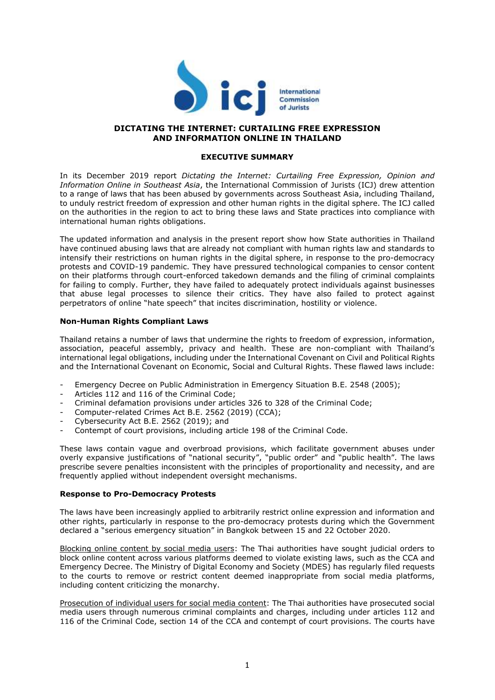

# **DICTATING THE INTERNET: CURTAILING FREE EXPRESSION AND INFORMATION ONLINE IN THAILAND**

#### **EXECUTIVE SUMMARY**

In its December 2019 report *Dictating the Internet: Curtailing Free Expression, Opinion and Information Online in Southeast Asia*, the International Commission of Jurists (ICJ) drew attention to a range of laws that has been abused by governments across Southeast Asia, including Thailand, to unduly restrict freedom of expression and other human rights in the digital sphere. The ICJ called on the authorities in the region to act to bring these laws and State practices into compliance with international human rights obligations.

The updated information and analysis in the present report show how State authorities in Thailand have continued abusing laws that are already not compliant with human rights law and standards to intensify their restrictions on human rights in the digital sphere, in response to the pro-democracy protests and COVID-19 pandemic. They have pressured technological companies to censor content on their platforms through court-enforced takedown demands and the filing of criminal complaints for failing to comply. Further, they have failed to adequately protect individuals against businesses that abuse legal processes to silence their critics. They have also failed to protect against perpetrators of online "hate speech" that incites discrimination, hostility or violence.

# **Non-Human Rights Compliant Laws**

Thailand retains a number of laws that undermine the rights to freedom of expression, information, association, peaceful assembly, privacy and health. These are non-compliant with Thailand's international legal obligations, including under the International Covenant on Civil and Political Rights and the International Covenant on Economic, Social and Cultural Rights. These flawed laws include:

- Emergency Decree on Public Administration in Emergency Situation B.E. 2548 (2005);
- Articles 112 and 116 of the Criminal Code;
- Criminal defamation provisions under articles 326 to 328 of the Criminal Code;
- Computer-related Crimes Act B.E. 2562 (2019) (CCA);
- Cybersecurity Act B.E. 2562 (2019); and
- Contempt of court provisions, including article 198 of the Criminal Code.

These laws contain vague and overbroad provisions, which facilitate government abuses under overly expansive justifications of "national security", "public order" and "public health". The laws prescribe severe penalties inconsistent with the principles of proportionality and necessity, and are frequently applied without independent oversight mechanisms.

#### **Response to Pro-Democracy Protests**

The laws have been increasingly applied to arbitrarily restrict online expression and information and other rights, particularly in response to the pro-democracy protests during which the Government declared a "serious emergency situation" in Bangkok between 15 and 22 October 2020.

Blocking online content by social media users: The Thai authorities have sought judicial orders to block online content across various platforms deemed to violate existing laws, such as the CCA and Emergency Decree. The Ministry of Digital Economy and Society (MDES) has regularly filed requests to the courts to remove or restrict content deemed inappropriate from social media platforms, including content criticizing the monarchy.

Prosecution of individual users for social media content: The Thai authorities have prosecuted social media users through numerous criminal complaints and charges, including under articles 112 and 116 of the Criminal Code, section 14 of the CCA and contempt of court provisions. The courts have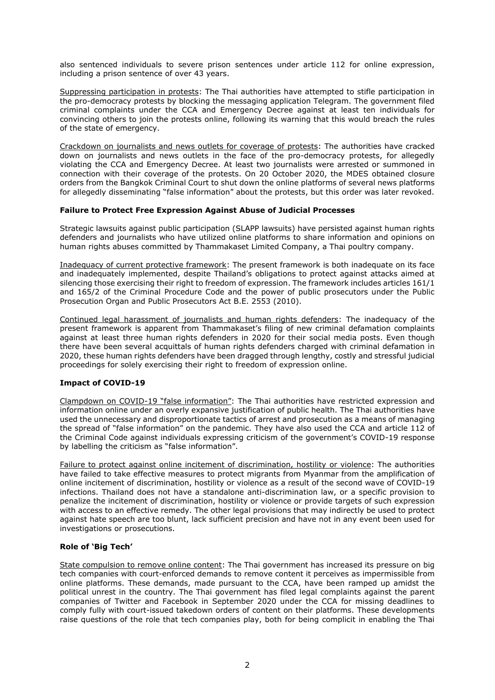also sentenced individuals to severe prison sentences under article 112 for online expression, including a prison sentence of over 43 years.

Suppressing participation in protests: The Thai authorities have attempted to stifle participation in the pro-democracy protests by blocking the messaging application Telegram. The government filed criminal complaints under the CCA and Emergency Decree against at least ten individuals for convincing others to join the protests online, following its warning that this would breach the rules of the state of emergency.

Crackdown on journalists and news outlets for coverage of protests: The authorities have cracked down on journalists and news outlets in the face of the pro-democracy protests, for allegedly violating the CCA and Emergency Decree. At least two journalists were arrested or summoned in connection with their coverage of the protests. On 20 October 2020, the MDES obtained closure orders from the Bangkok Criminal Court to shut down the online platforms of several news platforms for allegedly disseminating "false information" about the protests, but this order was later revoked.

# **Failure to Protect Free Expression Against Abuse of Judicial Processes**

Strategic lawsuits against public participation (SLAPP lawsuits) have persisted against human rights defenders and journalists who have utilized online platforms to share information and opinions on human rights abuses committed by Thammakaset Limited Company, a Thai poultry company.

Inadequacy of current protective framework: The present framework is both inadequate on its face and inadequately implemented, despite Thailand's obligations to protect against attacks aimed at silencing those exercising their right to freedom of expression. The framework includes articles 161/1 and 165/2 of the Criminal Procedure Code and the power of public prosecutors under the Public Prosecution Organ and Public Prosecutors Act B.E. 2553 (2010).

Continued legal harassment of journalists and human rights defenders: The inadequacy of the present framework is apparent from Thammakaset's filing of new criminal defamation complaints against at least three human rights defenders in 2020 for their social media posts. Even though there have been several acquittals of human rights defenders charged with criminal defamation in 2020, these human rights defenders have been dragged through lengthy, costly and stressful judicial proceedings for solely exercising their right to freedom of expression online.

# **Impact of COVID-19**

Clampdown on COVID-19 "false information": The Thai authorities have restricted expression and information online under an overly expansive justification of public health. The Thai authorities have used the unnecessary and disproportionate tactics of arrest and prosecution as a means of managing the spread of "false information" on the pandemic. They have also used the CCA and article 112 of the Criminal Code against individuals expressing criticism of the government's COVID-19 response by labelling the criticism as "false information".

Failure to protect against online incitement of discrimination, hostility or violence: The authorities have failed to take effective measures to protect migrants from Myanmar from the amplification of online incitement of discrimination, hostility or violence as a result of the second wave of COVID-19 infections. Thailand does not have a standalone anti-discrimination law, or a specific provision to penalize the incitement of discrimination, hostility or violence or provide targets of such expression with access to an effective remedy. The other legal provisions that may indirectly be used to protect against hate speech are too blunt, lack sufficient precision and have not in any event been used for investigations or prosecutions.

# **Role of 'Big Tech'**

State compulsion to remove online content: The Thai government has increased its pressure on big tech companies with court-enforced demands to remove content it perceives as impermissible from online platforms. These demands, made pursuant to the CCA, have been ramped up amidst the political unrest in the country. The Thai government has filed legal complaints against the parent companies of Twitter and Facebook in September 2020 under the CCA for missing deadlines to comply fully with court-issued takedown orders of content on their platforms. These developments raise questions of the role that tech companies play, both for being complicit in enabling the Thai